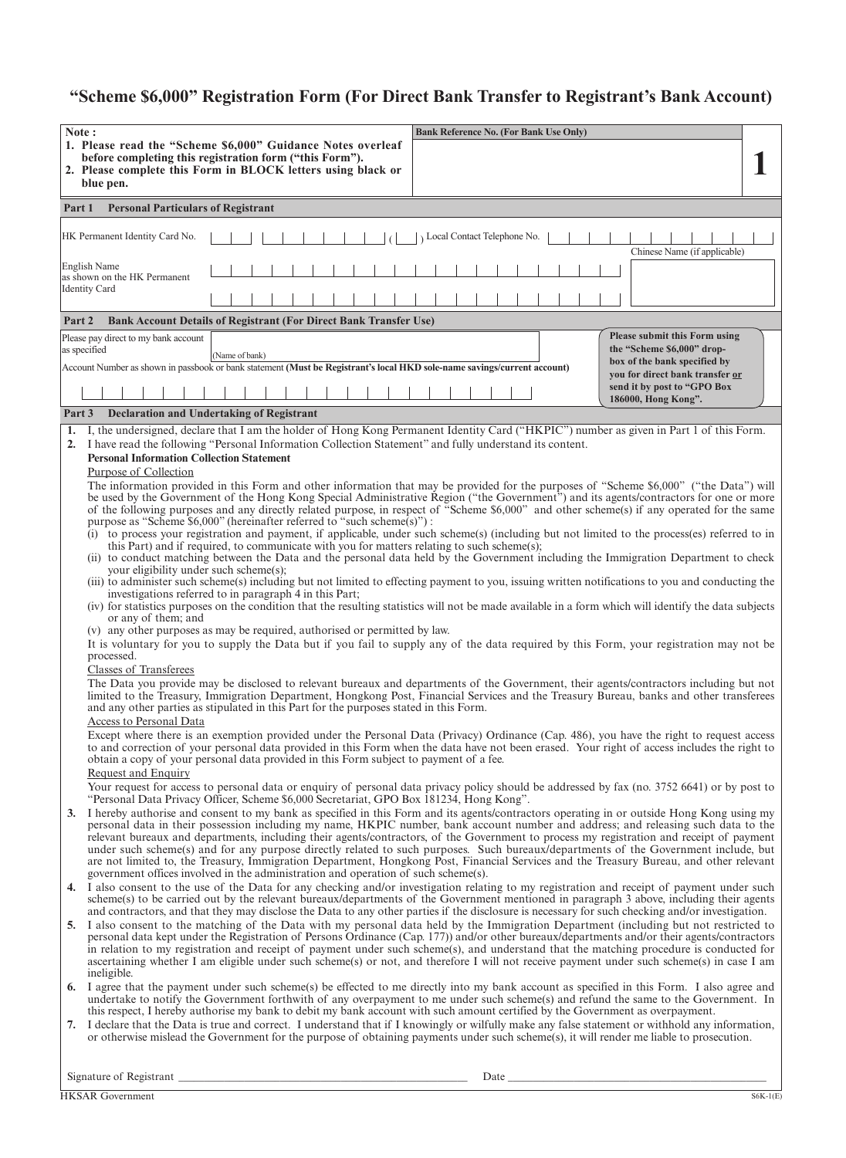# **"Scheme \$6,000" Registration Form (For Direct Bank Transfer to Registrant's Bank Account)**

|    | Note:<br><b>Bank Reference No. (For Bank Use Only)</b><br>1. Please read the "Scheme \$6,000" Guidance Notes overleaf<br>before completing this registration form ("this Form").<br>2. Please complete this Form in BLOCK letters using black or<br>blue pen.                                                                                                                                                                                                                                                                                                                                                                                                                                                                                                                                                                                                                                                                                                                                                                                                                                                                                                                                                                                                                                                                                                                                                                                                                                                                                                                                                                                                                                                                                                                                                                                                                                                                                                                                                                                                                                                                                                                                                                                                                                                                                                                                                                                                                                                                                                                                                                                                                                                                                                                                                                                                                                                                              |  |
|----|--------------------------------------------------------------------------------------------------------------------------------------------------------------------------------------------------------------------------------------------------------------------------------------------------------------------------------------------------------------------------------------------------------------------------------------------------------------------------------------------------------------------------------------------------------------------------------------------------------------------------------------------------------------------------------------------------------------------------------------------------------------------------------------------------------------------------------------------------------------------------------------------------------------------------------------------------------------------------------------------------------------------------------------------------------------------------------------------------------------------------------------------------------------------------------------------------------------------------------------------------------------------------------------------------------------------------------------------------------------------------------------------------------------------------------------------------------------------------------------------------------------------------------------------------------------------------------------------------------------------------------------------------------------------------------------------------------------------------------------------------------------------------------------------------------------------------------------------------------------------------------------------------------------------------------------------------------------------------------------------------------------------------------------------------------------------------------------------------------------------------------------------------------------------------------------------------------------------------------------------------------------------------------------------------------------------------------------------------------------------------------------------------------------------------------------------------------------------------------------------------------------------------------------------------------------------------------------------------------------------------------------------------------------------------------------------------------------------------------------------------------------------------------------------------------------------------------------------------------------------------------------------------------------------------------------------|--|
|    | <b>Personal Particulars of Registrant</b><br>Part 1                                                                                                                                                                                                                                                                                                                                                                                                                                                                                                                                                                                                                                                                                                                                                                                                                                                                                                                                                                                                                                                                                                                                                                                                                                                                                                                                                                                                                                                                                                                                                                                                                                                                                                                                                                                                                                                                                                                                                                                                                                                                                                                                                                                                                                                                                                                                                                                                                                                                                                                                                                                                                                                                                                                                                                                                                                                                                        |  |
|    | HK Permanent Identity Card No.<br>Local Contact Telephone No.<br>Chinese Name (if applicable)                                                                                                                                                                                                                                                                                                                                                                                                                                                                                                                                                                                                                                                                                                                                                                                                                                                                                                                                                                                                                                                                                                                                                                                                                                                                                                                                                                                                                                                                                                                                                                                                                                                                                                                                                                                                                                                                                                                                                                                                                                                                                                                                                                                                                                                                                                                                                                                                                                                                                                                                                                                                                                                                                                                                                                                                                                              |  |
|    | English Name<br>as shown on the HK Permanent<br><b>Identity Card</b>                                                                                                                                                                                                                                                                                                                                                                                                                                                                                                                                                                                                                                                                                                                                                                                                                                                                                                                                                                                                                                                                                                                                                                                                                                                                                                                                                                                                                                                                                                                                                                                                                                                                                                                                                                                                                                                                                                                                                                                                                                                                                                                                                                                                                                                                                                                                                                                                                                                                                                                                                                                                                                                                                                                                                                                                                                                                       |  |
|    | <b>Bank Account Details of Registrant (For Direct Bank Transfer Use)</b><br>Part 2                                                                                                                                                                                                                                                                                                                                                                                                                                                                                                                                                                                                                                                                                                                                                                                                                                                                                                                                                                                                                                                                                                                                                                                                                                                                                                                                                                                                                                                                                                                                                                                                                                                                                                                                                                                                                                                                                                                                                                                                                                                                                                                                                                                                                                                                                                                                                                                                                                                                                                                                                                                                                                                                                                                                                                                                                                                         |  |
|    | Please submit this Form using<br>Please pay direct to my bank account<br>the "Scheme \$6,000" drop-<br>as specified<br>(Name of bank)<br>box of the bank specified by<br>Account Number as shown in passbook or bank statement (Must be Registrant's local HKD sole-name savings/current account)<br>vou for direct bank transfer or<br>send it by post to "GPO Box<br>186000, Hong Kong".                                                                                                                                                                                                                                                                                                                                                                                                                                                                                                                                                                                                                                                                                                                                                                                                                                                                                                                                                                                                                                                                                                                                                                                                                                                                                                                                                                                                                                                                                                                                                                                                                                                                                                                                                                                                                                                                                                                                                                                                                                                                                                                                                                                                                                                                                                                                                                                                                                                                                                                                                 |  |
|    | <b>Declaration and Undertaking of Registrant</b><br>Part 3                                                                                                                                                                                                                                                                                                                                                                                                                                                                                                                                                                                                                                                                                                                                                                                                                                                                                                                                                                                                                                                                                                                                                                                                                                                                                                                                                                                                                                                                                                                                                                                                                                                                                                                                                                                                                                                                                                                                                                                                                                                                                                                                                                                                                                                                                                                                                                                                                                                                                                                                                                                                                                                                                                                                                                                                                                                                                 |  |
|    | 1. I, the undersigned, declare that I am the holder of Hong Kong Permanent Identity Card ("HKPIC") number as given in Part 1 of this Form.<br>2. I have read the following "Personal Information Collection Statement" and fully understand its content.<br><b>Personal Information Collection Statement</b><br>Purpose of Collection<br>The information provided in this Form and other information that may be provided for the purposes of "Scheme \$6,000" ("the Data") will<br>be used by the Government of the Hong Kong Special Administrative Region ("the Government") and its agents/contractors for one or more<br>of the following purposes and any directly related purpose, in respect of "Scheme \$6,000" and other scheme(s) if any operated for the same<br>purpose as "Scheme \$6,000" (hereinafter referred to "such scheme(s)") :<br>(i) to process your registration and payment, if applicable, under such scheme(s) (including but not limited to the process(es) referred to in<br>this Part) and if required, to communicate with you for matters relating to such scheme(s);<br>(ii) to conduct matching between the Data and the personal data held by the Government including the Immigration Department to check<br>your eligibility under such scheme(s);<br>(iii) to administer such scheme(s) including but not limited to effecting payment to you, issuing written notifications to you and conducting the<br>investigations referred to in paragraph 4 in this Part;<br>(iv) for statistics purposes on the condition that the resulting statistics will not be made available in a form which will identify the data subjects<br>or any of them; and<br>(v) any other purposes as may be required, authorised or permitted by law.<br>It is voluntary for you to supply the Data but if you fail to supply any of the data required by this Form, your registration may not be<br>processed.<br><b>Classes of Transferees</b><br>The Data you provide may be disclosed to relevant bureaux and departments of the Government, their agents/contractors including but not<br>limited to the Treasury, Immigration Department, Hongkong Post, Financial Services and the Treasury Bureau, banks and other transferees<br>and any other parties as stipulated in this Part for the purposes stated in this Form.<br>Access to Personal Data<br>Except where there is an exemption provided under the Personal Data (Privacy) Ordinance (Cap. 486), you have the right to request access<br>to and correction of your personal data provided in this Form when the data have not been erased. Your right of access includes the right to<br>obtain a copy of your personal data provided in this Form subject to payment of a fee.<br>Request and Enquiry<br>Your request for access to personal data or enquiry of personal data privacy policy should be addressed by fax (no. 3752 6641) or by post to |  |
| 3. | "Personal Data Privacy Officer, Scheme \$6,000 Secretariat, GPO Box 181234, Hong Kong".<br>I hereby authorise and consent to my bank as specified in this Form and its agents/contractors operating in or outside Hong Kong using my<br>personal data in their possession including my name, HKPIC number, bank account number and address; and releasing such data to the<br>relevant bureaux and departments, including their agents/contractors, of the Government to process my registration and receipt of payment<br>under such scheme(s) and for any purpose directly related to such purposes. Such bureaux/departments of the Government include, but<br>are not limited to, the Treasury, Immigration Department, Hongkong Post, Financial Services and the Treasury Bureau, and other relevant<br>government offices involved in the administration and operation of such scheme(s).                                                                                                                                                                                                                                                                                                                                                                                                                                                                                                                                                                                                                                                                                                                                                                                                                                                                                                                                                                                                                                                                                                                                                                                                                                                                                                                                                                                                                                                                                                                                                                                                                                                                                                                                                                                                                                                                                                                                                                                                                                            |  |
|    | 4. I also consent to the use of the Data for any checking and/or investigation relating to my registration and receipt of payment under such<br>scheme(s) to be carried out by the relevant bureaux/departments of the Government mentioned in paragraph 3 above, including their agents<br>and contractors, and that they may disclose the Data to any other parties if the disclosure is necessary for such checking and/or investigation.<br>5. I also consent to the matching of the Data with my personal data held by the Immigration Department (including but not restricted to<br>personal data kept under the Registration of Persons Ordinance (Cap. 177)) and/or other bureaux/departments and/or their agents/contractors<br>in relation to my registration and receipt of payment under such scheme(s), and understand that the matching procedure is conducted for<br>ascertaining whether I am eligible under such scheme(s) or not, and therefore I will not receive payment under such scheme(s) in case I am<br>ineligible.                                                                                                                                                                                                                                                                                                                                                                                                                                                                                                                                                                                                                                                                                                                                                                                                                                                                                                                                                                                                                                                                                                                                                                                                                                                                                                                                                                                                                                                                                                                                                                                                                                                                                                                                                                                                                                                                                             |  |
|    | 6. I agree that the payment under such scheme(s) be effected to me directly into my bank account as specified in this Form. I also agree and<br>undertake to notify the Government forthwith of any overpayment to me under such scheme(s) and refund the same to the Government. In<br>this respect, I hereby authorise my bank to debit my bank account with such amount certified by the Government as overpayment.<br>7. I declare that the Data is true and correct. I understand that if I knowingly or wilfully make any false statement or withhold any information,<br>or otherwise mislead the Government for the purpose of obtaining payments under such scheme(s), it will render me liable to prosecution.                                                                                                                                                                                                                                                                                                                                                                                                                                                                                                                                                                                                                                                                                                                                                                                                                                                                                                                                                                                                                                                                                                                                                                                                                                                                                                                                                                                                                                                                                                                                                                                                                                                                                                                                                                                                                                                                                                                                                                                                                                                                                                                                                                                                                   |  |

Signature of Registrant \_\_\_\_\_\_\_\_\_\_\_\_\_\_\_\_\_\_\_\_\_\_\_\_\_\_\_\_\_\_\_\_\_\_\_\_\_\_\_\_\_\_\_\_\_\_\_\_\_\_\_\_\_\_\_\_\_ Date \_\_\_\_\_\_\_\_\_\_\_\_\_\_\_\_\_\_\_\_\_\_\_\_\_\_\_\_\_\_\_\_\_\_\_\_\_\_\_\_\_\_\_\_\_\_\_\_\_\_\_